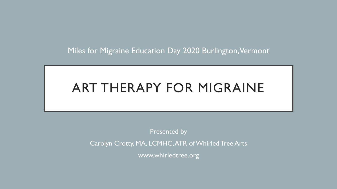Miles for Migraine Education Day 2020 Burlington, Vermont

# ART THERAPY FOR MIGRAINE

Presented by Carolyn Crotty, MA, LCMHC, ATR of Whirled Tree Arts www.whirledtree.org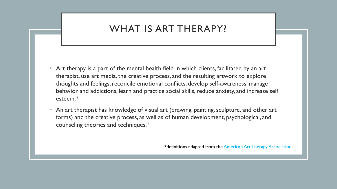## WHAT IS ART THERAPY?

- Art therapy is a part of the mental health field in which clients, facilitated by an art therapist, use art media, the creative process, and the resulting artwork to explore thoughts and feelings, reconcile emotional conflicts, develop self-awareness, manage behavior and addictions, learn and practice social skills, reduce anxiety, and increase self esteem.\*
- An art therapist has knowledge of visual art (drawing, painting, sculpture, and other art forms) and the creative process, as well as of human development, psychological, and counseling theories and techniques.\*

\*definitions adapted from the [American Art Therapy Association](http://www.arttherapy.org/)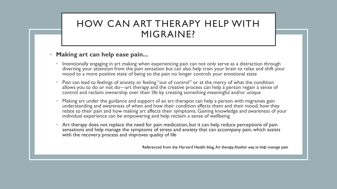### HOW CAN ART THERAPY HELP WITH MIGRAINE?

### • **Making art can help ease pain...**

- Intentionally engaging in art making when experiencing pain can not only serve as a distraction through diverting your attention from the pain sensation but can also help train your brain to relax and shift your mood to a more positive state of being so the pain no longer controls your emotional state
- Pain can lead to feelings of anxiety or feeling "out of control" or at the mercy of what the condition allows you to do or not do—art therapy and the creative process can help a person regain a sense of control and reclaim ownership over their life by creating something meaningful and/or unique
- Making art under the guidance and support of an art therapist can help a person with migraines gain understanding and awareness of when and how their condition affects them and their mood, how they relate to their pain and how making art affects their symptoms. Gaining knowledge and awareness of your individual experience can be empowering and help reclaim a sense of wellbeing
- Art therapy does not replace the need for pain medication, but it can help reduce perceptions of pain sensations and help manage the symptoms of stress and anxiety that can accompany pain, which assists with the recovery process and improves quality of life

Referenced from the Harvard Health blog, *Art therapy: Another way to help manage pain*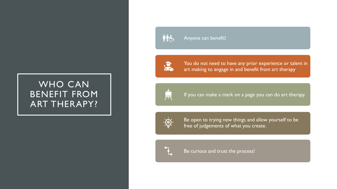### WHO CAN BENEFIT FROM ART THERAPY?



#### Anyone can benefit!



You do not need to have any prior experience or talent in art making to engage in and benefit from art therapy



If you can make a mark on a page you can do art therapy



Be open to trying new things and allow yourself to be free of judgements of what you create.



Be curious and trust the process!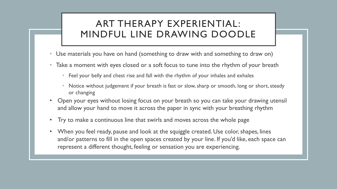### ART THERAPY EXPERIENTIAL: MINDFUL LINE DRAWING DOODLE

- Use materials you have on hand (something to draw with and something to draw on)
- Take a moment with eyes closed or a soft focus to tune into the rhythm of your breath
	- Feel your belly and chest rise and fall with the rhythm of your inhales and exhales
	- Notice without judgement if your breath is fast or slow, sharp or smooth, long or short, steady or changing
- Open your eyes without losing focus on your breath so you can take your drawing utensil and allow your hand to move it across the paper in sync with your breathing rhythm
- Try to make a continuous line that swirls and moves across the whole page
- When you feel ready, pause and look at the squiggle created. Use color, shapes, lines and/or patterns to fill in the open spaces created by your line. If you'd like, each space can represent a different thought, feeling or sensation you are experiencing.